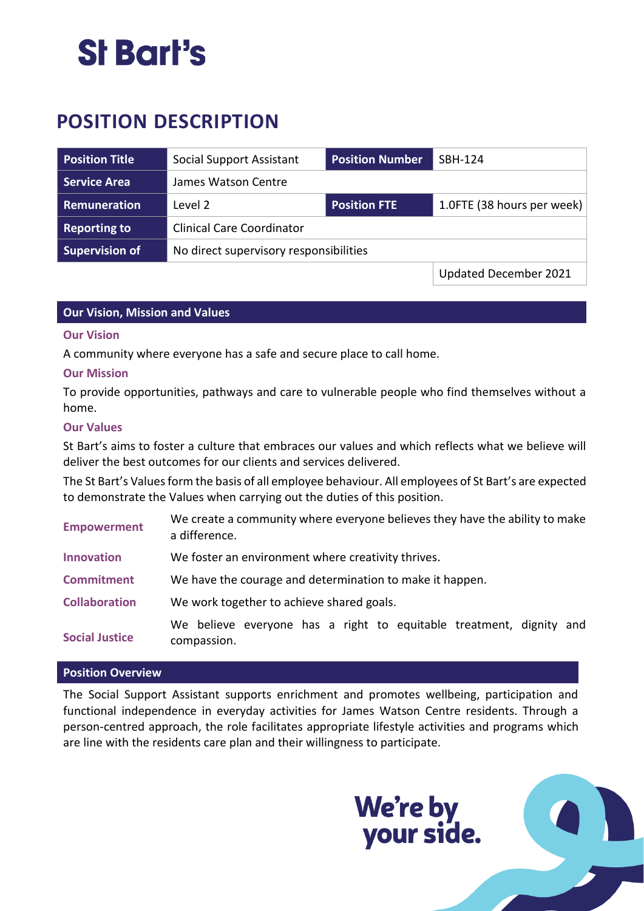### St Bart's

### **POSITION DESCRIPTION**

| <b>Position Title</b> | Social Support Assistant               | <b>Position Number</b> | SBH-124                    |
|-----------------------|----------------------------------------|------------------------|----------------------------|
| <b>Service Area</b>   | James Watson Centre                    |                        |                            |
| Remuneration          | Level 2                                | <b>Position FTE</b>    | 1.0FTE (38 hours per week) |
| <b>Reporting to</b>   | <b>Clinical Care Coordinator</b>       |                        |                            |
| <b>Supervision of</b> | No direct supervisory responsibilities |                        |                            |
|                       |                                        |                        | Updated December 2021      |

#### **Our Vision, Mission and Values**

#### **Our Vision**

A community where everyone has a safe and secure place to call home.

#### **Our Mission**

To provide opportunities, pathways and care to vulnerable people who find themselves without a home.

#### **Our Values**

St Bart's aims to foster a culture that embraces our values and which reflects what we believe will deliver the best outcomes for our clients and services delivered.

The St Bart's Values form the basis of all employee behaviour. All employees of St Bart's are expected to demonstrate the Values when carrying out the duties of this position.

| <b>Empowerment</b>    | We create a community where everyone believes they have the ability to make<br>a difference. |  |  |  |
|-----------------------|----------------------------------------------------------------------------------------------|--|--|--|
| <b>Innovation</b>     | We foster an environment where creativity thrives.                                           |  |  |  |
| <b>Commitment</b>     | We have the courage and determination to make it happen.                                     |  |  |  |
| <b>Collaboration</b>  | We work together to achieve shared goals.                                                    |  |  |  |
| <b>Social Justice</b> | We believe everyone has a right to equitable treatment, dignity and<br>compassion.           |  |  |  |

#### **Position Overview**

The Social Support Assistant supports enrichment and promotes wellbeing, participation and functional independence in everyday activities for James Watson Centre residents. Through a person-centred approach, the role facilitates appropriate lifestyle activities and programs which are line with the residents care plan and their willingness to participate.

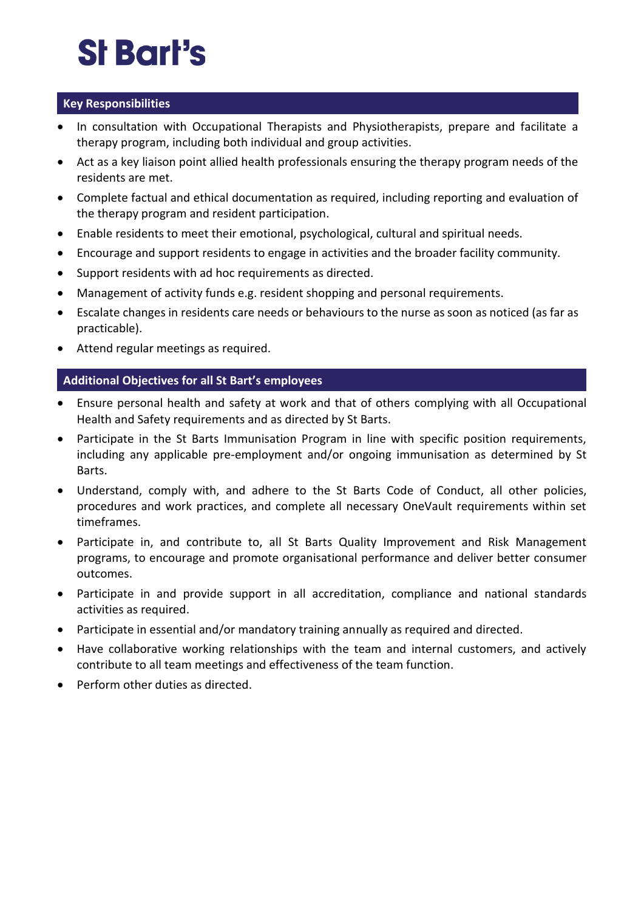# St Bart's

#### **Key Responsibilities**

- In consultation with Occupational Therapists and Physiotherapists, prepare and facilitate a therapy program, including both individual and group activities.
- Act as a key liaison point allied health professionals ensuring the therapy program needs of the residents are met.
- Complete factual and ethical documentation as required, including reporting and evaluation of the therapy program and resident participation.
- Enable residents to meet their emotional, psychological, cultural and spiritual needs.
- Encourage and support residents to engage in activities and the broader facility community.
- Support residents with ad hoc requirements as directed.
- Management of activity funds e.g. resident shopping and personal requirements.
- Escalate changes in residents care needs or behaviours to the nurse as soon as noticed (as far as practicable).
- Attend regular meetings as required.

#### **Additional Objectives for all St Bart's employees**

- Ensure personal health and safety at work and that of others complying with all Occupational Health and Safety requirements and as directed by St Barts.
- Participate in the St Barts Immunisation Program in line with specific position requirements, including any applicable pre-employment and/or ongoing immunisation as determined by St Barts.
- Understand, comply with, and adhere to the St Barts Code of Conduct, all other policies, procedures and work practices, and complete all necessary OneVault requirements within set timeframes.
- Participate in, and contribute to, all St Barts Quality Improvement and Risk Management programs, to encourage and promote organisational performance and deliver better consumer outcomes.
- Participate in and provide support in all accreditation, compliance and national standards activities as required.
- Participate in essential and/or mandatory training annually as required and directed.
- Have collaborative working relationships with the team and internal customers, and actively contribute to all team meetings and effectiveness of the team function.
- Perform other duties as directed.